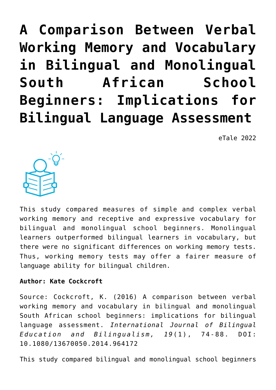**[A Comparison Between Verbal](https://dev.taleafrica.com/2021/04/20/a-comparison-between-verbal-working-memory-and-vocabulary-in-bilingual-and-monolingual-south-african-school-beginners-implications-for-bilingual-language-assessment/) [Working Memory and Vocabulary](https://dev.taleafrica.com/2021/04/20/a-comparison-between-verbal-working-memory-and-vocabulary-in-bilingual-and-monolingual-south-african-school-beginners-implications-for-bilingual-language-assessment/) [in Bilingual and Monolingual](https://dev.taleafrica.com/2021/04/20/a-comparison-between-verbal-working-memory-and-vocabulary-in-bilingual-and-monolingual-south-african-school-beginners-implications-for-bilingual-language-assessment/) [South African School](https://dev.taleafrica.com/2021/04/20/a-comparison-between-verbal-working-memory-and-vocabulary-in-bilingual-and-monolingual-south-african-school-beginners-implications-for-bilingual-language-assessment/) [Beginners: Implications for](https://dev.taleafrica.com/2021/04/20/a-comparison-between-verbal-working-memory-and-vocabulary-in-bilingual-and-monolingual-south-african-school-beginners-implications-for-bilingual-language-assessment/) [Bilingual Language Assessment](https://dev.taleafrica.com/2021/04/20/a-comparison-between-verbal-working-memory-and-vocabulary-in-bilingual-and-monolingual-south-african-school-beginners-implications-for-bilingual-language-assessment/)**

eTale 2022



This study compared measures of simple and complex verbal working memory and receptive and expressive vocabulary for bilingual and monolingual school beginners. Monolingual learners outperformed bilingual learners in vocabulary, but there were no significant differences on working memory tests. Thus, working memory tests may offer a fairer measure of language ability for bilingual children.

## **Author: Kate Cockcroft**

Source: Cockcroft, K. (2016) A comparison between verbal working memory and vocabulary in bilingual and monolingual South African school beginners: implications for bilingual language assessment. *International Journal of Bilingual Education and Bilingualism, 19*(1), 74-88. DOI: 10.1080/13670050.2014.964172

This study compared bilingual and monolingual school beginners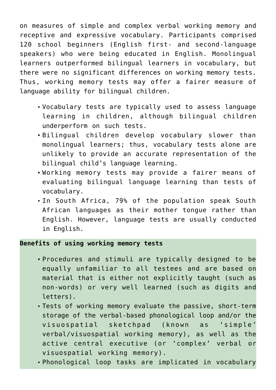on measures of simple and complex verbal working memory and receptive and expressive vocabulary. Participants comprised 120 school beginners (English first- and second-language speakers) who were being educated in English. Monolingual learners outperformed bilingual learners in vocabulary, but there were no significant differences on working memory tests. Thus, working memory tests may offer a fairer measure of language ability for bilingual children.

- Vocabulary tests are typically used to assess language learning in children, although bilingual children underperform on such tests.
- Bilingual children develop vocabulary slower than monolingual learners; thus, vocabulary tests alone are unlikely to provide an accurate representation of the bilingual child's language learning.
- Working memory tests may provide a fairer means of evaluating bilingual language learning than tests of vocabulary.
- In South Africa, 79% of the population speak South African languages as their mother tongue rather than English. However, language tests are usually conducted in English.

### **Benefits of using working memory tests**

- Procedures and stimuli are typically designed to be equally unfamiliar to all testees and are based on material that is either not explicitly taught (such as non-words) or very well learned (such as digits and letters).
- Tests of working memory evaluate the passive, short-term storage of the verbal-based phonological loop and/or the visuospatial sketchpad (known as 'simple' verbal/visuospatial working memory), as well as the active central executive (or 'complex' verbal or visuospatial working memory).
- Phonological loop tasks are implicated in vocabulary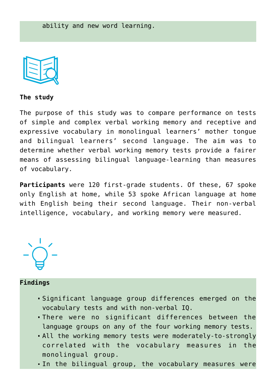

**The study**

The purpose of this study was to compare performance on tests of simple and complex verbal working memory and receptive and expressive vocabulary in monolingual learners' mother tongue and bilingual learners' second language. The aim was to determine whether verbal working memory tests provide a fairer means of assessing bilingual language-learning than measures of vocabulary.

**Participants** were 120 first-grade students. Of these, 67 spoke only English at home, while 53 spoke African language at home with English being their second language. Their non-verbal intelligence, vocabulary, and working memory were measured.



### **Findings**

- Significant language group differences emerged on the vocabulary tests and with non-verbal IQ.
- There were no significant differences between the language groups on any of the four working memory tests.
- All the working memory tests were moderately-to-strongly correlated with the vocabulary measures in the monolingual group.
- In the bilingual group, the vocabulary measures were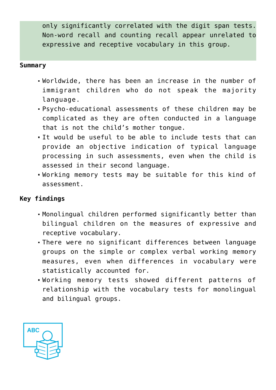only significantly correlated with the digit span tests. Non-word recall and counting recall appear unrelated to expressive and receptive vocabulary in this group.

#### **Summary**

- Worldwide, there has been an increase in the number of immigrant children who do not speak the majority language.
- Psycho-educational assessments of these children may be complicated as they are often conducted in a language that is not the child's mother tongue.
- It would be useful to be able to include tests that can provide an objective indication of typical language processing in such assessments, even when the child is assessed in their second language.
- Working memory tests may be suitable for this kind of assessment.

## **Key findings**

- Monolingual children performed significantly better than bilingual children on the measures of expressive and receptive vocabulary.
- There were no significant differences between language groups on the simple or complex verbal working memory measures, even when differences in vocabulary were statistically accounted for.
- Working memory tests showed different patterns of relationship with the vocabulary tests for monolingual and bilingual groups.